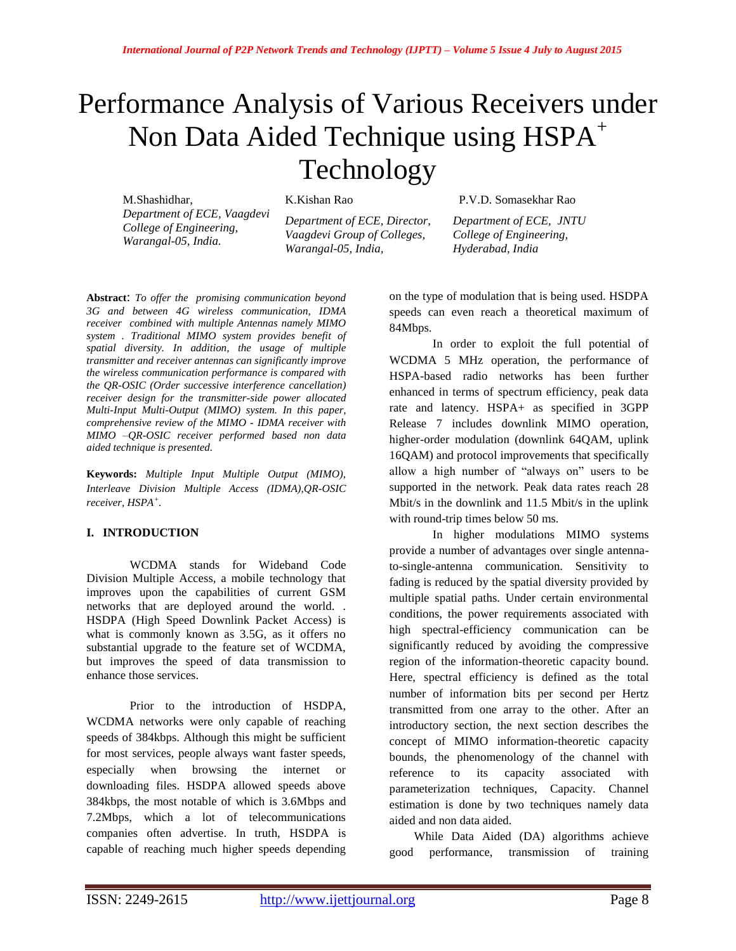# Performance Analysis of Various Receivers under Non Data Aided Technique using  $HSPA^+$ Technology

M.Shashidhar, *Department of ECE, Vaagdevi College of Engineering, Warangal-05, India.*

K.Kishan Rao

*Department of ECE, Director, Vaagdevi Group of Colleges, Warangal-05, India,*

 P.V.D. Somasekhar Rao *Department of ECE, JNTU* 

*College of Engineering, Hyderabad, India* 

**Abstract**: *To offer the promising communication beyond 3G and between 4G wireless communication, IDMA receiver combined with multiple Antennas namely MIMO system . Traditional MIMO system provides benefit of spatial diversity. In addition, the usage of multiple transmitter and receiver antennas can significantly improve the wireless communication performance is compared with the QR-OSIC (Order successive interference cancellation) receiver design for the transmitter-side power allocated Multi-Input Multi-Output (MIMO) system. In this paper, comprehensive review of the MIMO - IDMA receiver with MIMO –QR-OSIC receiver performed based non data aided technique is presented.*

**Keywords:** *Multiple Input Multiple Output (MIMO), Interleave Division Multiple Access (IDMA),QR-OSIC receiver, HSPA<sup>+</sup> .*

# **I. INTRODUCTION**

WCDMA stands for Wideband Code Division Multiple Access, a mobile technology that improves upon the capabilities of current [GSM](http://www.differencebetween.net/tag/gsm/) networks that are deployed around the world. . HSDPA (High Speed Downlink Packet Access) is what is commonly known as 3.5G, as it offers no substantial upgrade to the feature set of WCDMA, but improves the speed of data transmission to enhance those services.

Prior to the introduction of [HSDPA,](http://www.differencebetween.net/technology/difference-between-3g-and-hsdpa/) WCDMA networks were only capable of reaching speeds of 384kbps. Although this might be sufficient for most services, people always want faster speeds, especially when browsing the internet or downloading files. HSDPA allowed speeds above 384kbps, the most notable of which is 3.6Mbps and 7.2Mbps, which a lot of telecommunications companies often advertise. In truth, HSDPA is capable of reaching much higher speeds depending

on the type of modulation that is being used. HSDPA speeds can even reach a theoretical maximum of 84Mbps.

In order to exploit the full potential of WCDMA 5 MHz operation, the performance of HSPA-based radio networks has been further enhanced in terms of spectrum efficiency, peak data rate and latency. HSPA+ as specified in 3GPP Release 7 includes downlink MIMO operation, higher-order modulation (downlink 64QAM, uplink 16QAM) and protocol improvements that specifically allow a high number of "always on" users to be supported in the network. Peak data rates reach 28 Mbit/s in the downlink and 11.5 Mbit/s in the uplink with round-trip times below 50 ms.

In higher modulations MIMO systems provide a number of advantages over single antennato-single-antenna communication. Sensitivity to fading is reduced by the spatial diversity provided by multiple spatial paths. Under certain environmental conditions, the power requirements associated with high spectral-efficiency communication can be significantly reduced by avoiding the compressive region of the information-theoretic capacity bound. Here, spectral efficiency is defined as the total number of information bits per second per Hertz transmitted from one array to the other. After an introductory section, the next section describes the concept of MIMO information-theoretic capacity bounds, the phenomenology of the channel with reference to its capacity associated with parameterization techniques, Capacity. Channel estimation is done by two techniques namely data aided and non data aided.

While Data Aided (DA) algorithms achieve good performance, transmission of training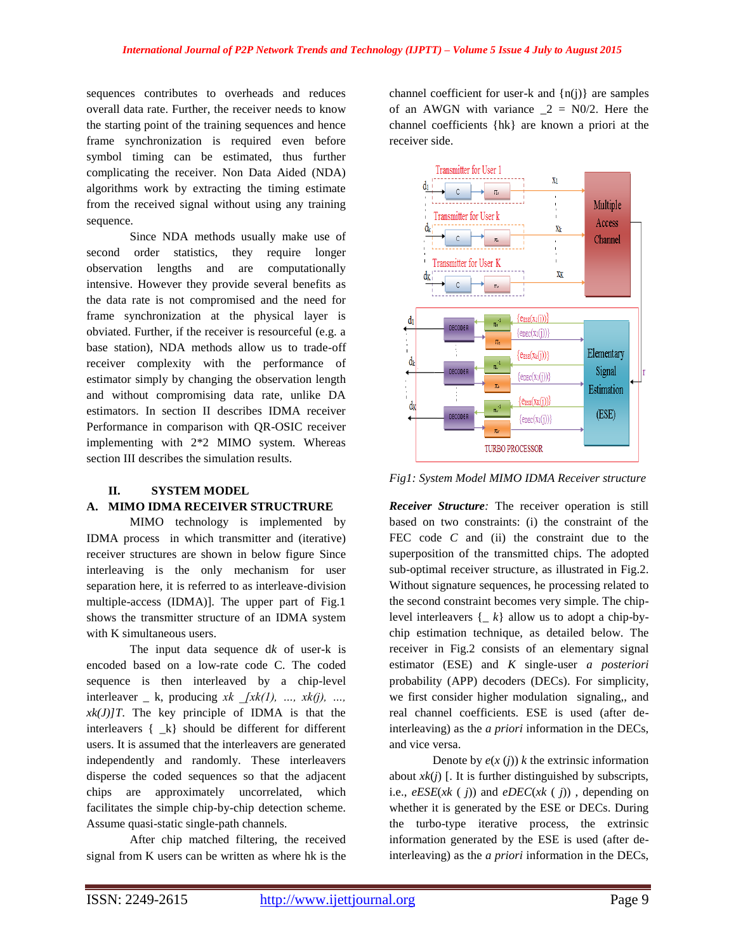sequences contributes to overheads and reduces overall data rate. Further, the receiver needs to know the starting point of the training sequences and hence frame synchronization is required even before symbol timing can be estimated, thus further complicating the receiver. Non Data Aided (NDA) algorithms work by extracting the timing estimate from the received signal without using any training sequence.

Since NDA methods usually make use of second order statistics, they require longer observation lengths and are computationally intensive. However they provide several benefits as the data rate is not compromised and the need for frame synchronization at the physical layer is obviated. Further, if the receiver is resourceful (e.g. a base station), NDA methods allow us to trade-off receiver complexity with the performance of estimator simply by changing the observation length and without compromising data rate, unlike DA estimators. In section II describes IDMA receiver Performance in comparison with QR-OSIC receiver implementing with 2\*2 MIMO system. Whereas section III describes the simulation results.

# **II. SYSTEM MODEL**

# **A. MIMO IDMA RECEIVER STRUCTRURE**

MIMO technology is implemented by IDMA process in which transmitter and (iterative) receiver structures are shown in below figure Since interleaving is the only mechanism for user separation here, it is referred to as interleave-division multiple-access (IDMA)]. The upper part of Fig.1 shows the transmitter structure of an IDMA system with K simultaneous users.

The input data sequence d*k* of user-k is encoded based on a low-rate code C. The coded sequence is then interleaved by a chip-level interleaver  $\lfloor k$ , producing  $x k$   $\lceil x k(l), ..., x k(l), ...,$  $xk(J)/T$ . The key principle of IDMA is that the interleavers { \_k} should be different for different users. It is assumed that the interleavers are generated independently and randomly. These interleavers disperse the coded sequences so that the adjacent chips are approximately uncorrelated, which facilitates the simple chip-by-chip detection scheme. Assume quasi-static single-path channels.

After chip matched filtering, the received signal from K users can be written as where hk is the channel coefficient for user-k and  $\{n(j)\}\$ are samples of an AWGN with variance  $2 = N0/2$ . Here the channel coefficients {hk} are known a priori at the receiver side.



*Fig1: System Model MIMO IDMA Receiver structure*

*Receiver Structure:* The receiver operation is still based on two constraints: (i) the constraint of the FEC code *C* and (ii) the constraint due to the superposition of the transmitted chips. The adopted sub-optimal receiver structure, as illustrated in Fig.2. Without signature sequences, he processing related to the second constraint becomes very simple. The chiplevel interleavers {\_ *k*} allow us to adopt a chip-bychip estimation technique, as detailed below. The receiver in Fig.2 consists of an elementary signal estimator (ESE) and *K* single-user *a posteriori*  probability (APP) decoders (DECs). For simplicity, we first consider higher modulation signaling,, and real channel coefficients. ESE is used (after deinterleaving) as the *a priori* information in the DECs, and vice versa.

Denote by  $e(x(j))$  *k* the extrinsic information about  $xk(i)$  [. It is further distinguished by subscripts, i.e., *eESE*(*xk* ( *j*)) and *eDEC*(*xk* ( *j*)) , depending on whether it is generated by the ESE or DECs. During the turbo-type iterative process, the extrinsic information generated by the ESE is used (after deinterleaving) as the *a priori* information in the DECs,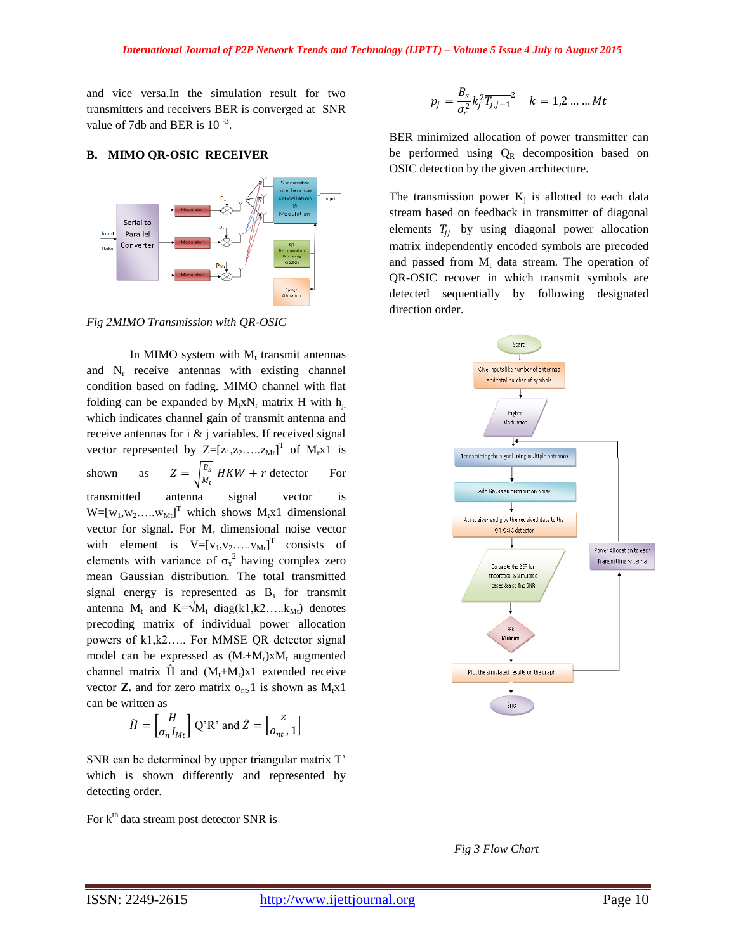and vice versa.In the simulation result for two transmitters and receivers BER is converged at SNR value of 7db and BER is  $10^{-3}$ .

## **B. MIMO QR-OSIC RECEIVER**



*Fig 2MIMO Transmission with QR-OSIC*

In MIMO system with  $M_t$  transmit antennas and  $N_r$  receive antennas with existing channel condition based on fading. MIMO channel with flat folding can be expanded by  $M_t x N_r$  matrix H with  $h_{ii}$ which indicates channel gain of transmit antenna and receive antennas for i & j variables. If received signal vector represented by  $Z=[z_1, z_2, ..., z_{Mr}]^T$  of  $M_rx1$  is shown as  $Z = \frac{B_s}{M}$  $\frac{b_s}{M_t}$  HKW + r detector For transmitted antenna signal vector is  $W=[w_1, w_2, ..., w_M]$ <sup>T</sup> which shows  $M_t x1$  dimensional vector for signal. For  $M_r$  dimensional noise vector with element is  $V=[v_1,v_2,...,v_{Mr}]^T$  consists of elements with variance of  $\sigma_x^2$  having complex zero mean Gaussian distribution. The total transmitted signal energy is represented as  $B_s$  for transmit antenna M<sub>t</sub> and K= $\sqrt{M_t}$  diag(k1,k2….k<sub>Mt</sub>) denotes precoding matrix of individual power allocation powers of k1,k2….. For MMSE QR detector signal model can be expressed as  $(M_t+M_r)xM_t$  augmented channel matrix  $\hat{H}$  and  $(M_t+M_r)x1$  extended receive vector **Z.** and for zero matrix  $o_{nt}$ , 1 is shown as  $M_t x1$ can be written as

$$
\widetilde{H} = \begin{bmatrix} H \\ \sigma_n I_{Mt} \end{bmatrix} Q^{\prime} R^{\prime} \text{ and } \widetilde{Z} = \begin{bmatrix} Z \\ o_{nt}, 1 \end{bmatrix}
$$

SNR can be determined by upper triangular matrix T' which is shown differently and represented by detecting order.

For  $k<sup>th</sup>$  data stream post detector SNR is

$$
p_j = \frac{B_s}{\sigma_r^2} k_j^2 \overline{T_{j,j-1}}^2 \quad k = 1, 2, \dots, Mt
$$

BER minimized allocation of power transmitter can be performed using  $Q_R$  decomposition based on OSIC detection by the given architecture.

The transmission power  $K_j$  is allotted to each data stream based on feedback in transmitter of diagonal elements  $\overline{T_{jj}}$  by using diagonal power allocation matrix independently encoded symbols are precoded and passed from  $M_t$  data stream. The operation of QR-OSIC recover in which transmit symbols are detected sequentially by following designated direction order.



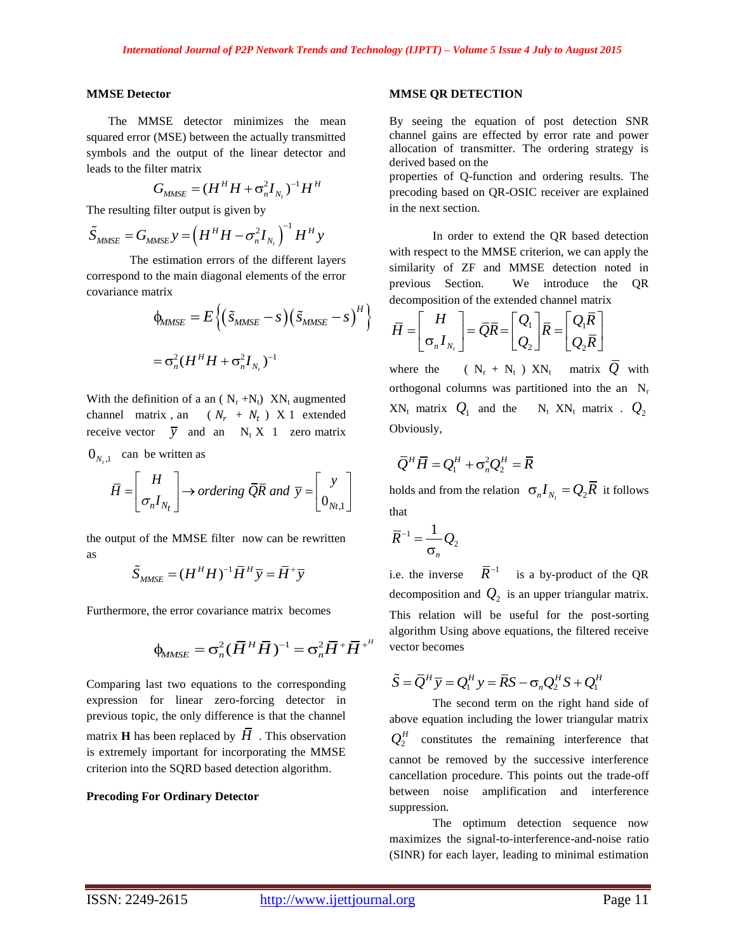# **MMSE Detector**

The MMSE detector minimizes the mean squared error (MSE) between the actually transmitted symbols and the output of the linear detector and leads to the filter matrix

$$
G_{MMSE} = (H^H H + \sigma_n^2 I_{N_t})^{-1} H^H
$$

The resulting filter output is given by  
\n
$$
\tilde{S}_{MMSE} = G_{MMSE} y = \left(H^H H - \sigma_n^2 I_{N_t}\right)^{-1} H^H y
$$

The estimation errors of the different layers correspond to the main diagonal elements of the error covariance matrix

natrix  
\n
$$
\phi_{MMSE} = E \left\{ \left( \tilde{S}_{MMSE} - S \right) \left( \tilde{S}_{MMSE} - S \right)^H \right\}
$$
\n
$$
= \sigma_n^2 (H^H H + \sigma_n^2 I_{N_t})^{-1}
$$

With the definition of a an ( $N_r + N_t$ )  $X_{t}$  augmented channel matrix, an  $(N_r + N_t)$  X 1 extended receive vector  $\overline{y}$  and an N<sub>t</sub> X 1 zero matrix

 $0_{N_t,1}$  can be written as

can be written as  
\n
$$
\overline{H} = \begin{bmatrix} H \\ \sigma_n I_{N_t} \end{bmatrix} \rightarrow ordering \ \overline{QR} \ and \ \overline{y} = \begin{bmatrix} y \\ 0_{N_t,1} \end{bmatrix}
$$

the output of the MMSE filter now can be rewritten as

$$
\widetilde{S}_{MMSE} = (H^H H)^{-1} \overline{H}^H \overline{y} = \overline{H}^+ \overline{y}
$$

Furthermore, the error covariance matrix becomes

$$
\phi_{MMSE} = \sigma_n^2 (\overline{H}^H \overline{H})^{-1} = \sigma_n^2 \overline{H}^+ \overline{H}^+
$$

Comparing last two equations to the corresponding expression for linear zero-forcing detector in previous topic, the only difference is that the channel matrix **H** has been replaced by  $H$ . This observation is extremely important for incorporating the MMSE criterion into the SQRD based detection algorithm.

## **Precoding For Ordinary Detector**

## **MMSE QR DETECTION**

By seeing the equation of post detection SNR channel gains are effected by error rate and power allocation of transmitter. The ordering strategy is derived based on the

properties of Q-function and ordering results. The precoding based on QR-OSIC receiver are explained in the next section.

In order to extend the QR based detection with respect to the MMSE criterion, we can apply the similarity of ZF and MMSE detection noted in previous Section. We introduce the QR

decomposition of the extended channel matrix  
\n
$$
\overline{H} = \begin{bmatrix} H \\ \sigma_n I_{N_t} \end{bmatrix} = \overline{Q}\overline{R} = \begin{bmatrix} Q_1 \\ Q_2 \end{bmatrix} \overline{R} = \begin{bmatrix} Q_1 \overline{R} \\ Q_2 \overline{R} \end{bmatrix}
$$

where the  $(N_r + N_t) X N_t$  matrix Q with orthogonal columns was partitioned into the an  $N_r$  $XN_t$  matrix  $Q_1$  and the  $N_t$  XN<sub>t</sub> matrix .  $Q_2$ Obviously,

$$
\overline{Q}^H \overline{H} = Q_1^H + \sigma_n^2 Q_2^H = \overline{R}
$$

holds and from the relation  $\sigma_n I_{N_t} = Q_2 \overline{R}$  it follows that

$$
\overline{R}^{-1} = \frac{1}{\sigma_n} Q_2
$$

i.e. the inverse  $\bar{R}^{-1}$  is a by-product of the QR decomposition and  $Q_2$  is an upper triangular matrix. This relation will be useful for the post-sorting algorithm Using above equations, the filtered receive vector becomes

$$
\tilde{S} = \overline{Q}^H \overline{y} = Q_1^H y = \overline{R}S - \sigma_n Q_2^H S + Q_1^H
$$

The second term on the right hand side of above equation including the lower triangular matrix  $Q_2^H$  constitutes the remaining interference that cannot be removed by the successive interference cancellation procedure. This points out the trade-off between noise amplification and interference suppression.

The optimum detection sequence now maximizes the signal-to-interference-and-noise ratio (SINR) for each layer, leading to minimal estimation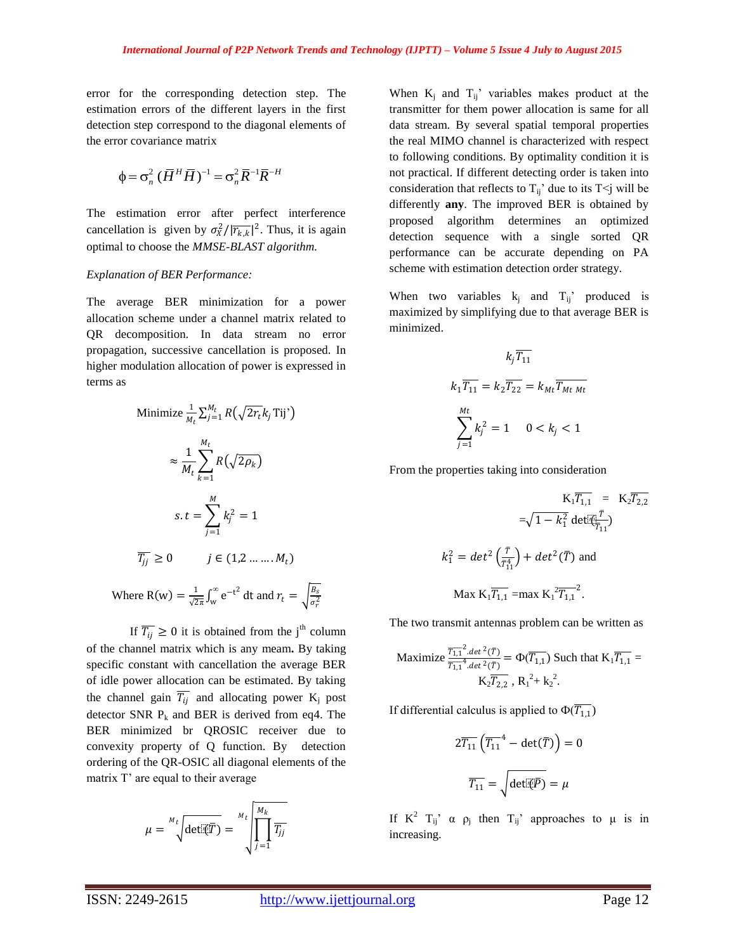error for the corresponding detection step. The estimation errors of the different layers in the first detection step correspond to the diagonal elements of the error covariance matrix

$$
\Phi = \sigma_n^2 (\overline{H}^H \overline{H})^{-1} = \sigma_n^2 \overline{R}^{-1} \overline{R}^{-H}
$$

The estimation error after perfect interference cancellation is given by  $\sigma_X^2/|\overline{r_{k,k}}|^2$ . Thus, it is again optimal to choose the *MMSE-BLAST algorithm.*

#### *Explanation of BER Performance:*

The average BER minimization for a power allocation scheme under a channel matrix related to QR decomposition. In data stream no error propagation, successive cancellation is proposed. In higher modulation allocation of power is expressed in terms as

Minimize 
$$
\frac{1}{M_t} \sum_{j=1}^{M_t} R(\sqrt{2r_t}k_j \text{Ti})^{\prime}
$$
  
\n
$$
\approx \frac{1}{M_t} \sum_{k=1}^{M_t} R(\sqrt{2\rho_k})
$$
\n
$$
s. t = \sum_{j=1}^{M} k_j^2 = 1
$$
\n
$$
\overline{T_{jj}} \ge 0 \qquad j \in (1, 2 \dots \dots M_t)
$$
\nWhere  $R(w) = \frac{1}{\sqrt{2\pi}} \int_{w}^{\infty} e^{-t^2} dt$  and  $r_t = \sqrt{\frac{1}{\sqrt{2\pi}} \int_{w}^{\infty} e^{-t^2} dt$ 

If  $\overline{T_{ij}} \ge 0$  it is obtained from the j<sup>th</sup> column of the channel matrix which is any meam**.** By taking specific constant with cancellation the average BER of idle power allocation can be estimated. By taking the channel gain  $\overline{T_{ij}}$  and allocating power  $K_j$  post detector SNR  $P_k$  and BER is derived from eq4. The BER minimized br QROSIC receiver due to convexity property of Q function. By detection ordering of the QR-OSIC all diagonal elements of the matrix T' are equal to their average

$$
\mu = \sqrt[M_t]{\text{det}(\overline{\mathbb{R}T})} = \sqrt[M_t]{\prod_{j=1}^{M_k} \overline{T_{jj}}}
$$

When  $K_i$  and  $T_{ij}$ ' variables makes product at the transmitter for them power allocation is same for all data stream. By several spatial temporal properties the real MIMO channel is characterized with respect to following conditions. By optimality condition it is not practical. If different detecting order is taken into consideration that reflects to  $T_{ij}$ ' due to its T<j will be differently **any**. The improved BER is obtained by proposed algorithm determines an optimized detection sequence with a single sorted QR performance can be accurate depending on PA scheme with estimation detection order strategy.

When two variables  $k_i$  and  $T_{ij}$  produced is maximized by simplifying due to that average BER is minimized.

$$
k_j \overline{T_{11}}
$$
  

$$
k_1 \overline{T_{11}} = k_2 \overline{T_{22}} = k_{Mt} \overline{T_{Mt \; Mt}}
$$
  

$$
\sum_{j=1}^{Mt} k_j^2 = 1 \quad 0 < k_j < 1
$$

From the properties taking into consideration

$$
K_{1}\overline{T_{1,1}} = K_{2}\overline{T_{2,2}}
$$
  
= $\sqrt{1 - k_{1}^{2}} \det[\overline{q}]_{T_{1}}^{T}$   
 $k_{1}^{2} = det^{2}(\frac{\tau}{T_{11}^{4}}) + det^{2}(\overline{T})$  and  
Max  $K_{1}\overline{T_{1,1}} = max K_{1}^{2}\overline{T_{1,1}}^{2}$ .

The two transmit antennas problem can be written as

Maximize 
$$
\frac{\overline{T_{1,1}}^2 \cdot \det^2(T)}{\overline{T_{1,1}}^4 \cdot \det^2(T)} = \Phi(\overline{T_{1,1}})
$$
 Such that  $K_1 \overline{T_{1,1}} = K_2 \overline{T_{2,2}}$ ,  $R_1^2 + k_2^2$ .

If differential calculus is applied to  $\Phi(\overline{T_{1,1}})$ 

$$
2\overline{T_{11}}\left(\overline{T_{11}}^4 - \det(\overline{T})\right) = 0
$$

$$
\overline{T_{11}} = \sqrt{\det(\overline{P})} = \mu
$$

If  $K^2$   $T_{ij}$ '  $\alpha$   $\rho_j$  then  $T_{ij}$ ' approaches to  $\mu$  is in increasing.

 $B_{S}$  $\sigma_r^2$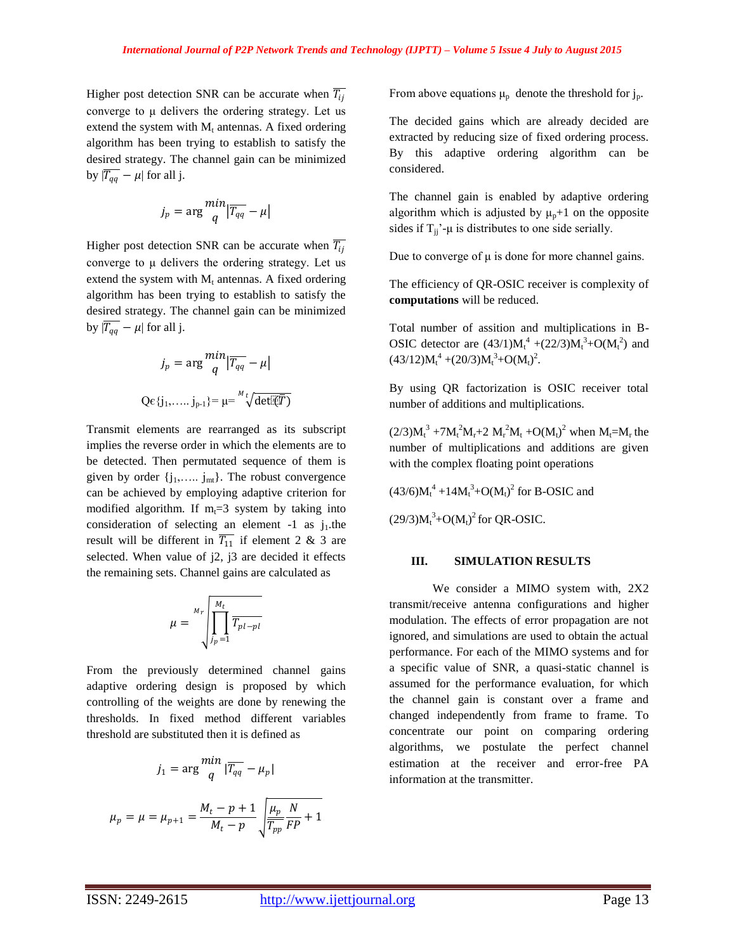Higher post detection SNR can be accurate when  $\overline{T_{ij}}$ converge to μ delivers the ordering strategy. Let us extend the system with  $M_t$  antennas. A fixed ordering algorithm has been trying to establish to satisfy the desired strategy. The channel gain can be minimized by  $|\overline{T_{qq}} - \mu|$  for all j.

$$
j_p = \arg\frac{min}{q} \left| \overline{T_{qq}} - \mu \right|
$$

Higher post detection SNR can be accurate when  $\overline{T_{ij}}$ converge to μ delivers the ordering strategy. Let us extend the system with  $M_t$  antennas. A fixed ordering algorithm has been trying to establish to satisfy the desired strategy. The channel gain can be minimized by  $|\overline{T_{qq}} - \mu|$  for all j.

$$
j_p = \arg\frac{min}{q} |\overline{T_{qq}} - \mu|
$$
  
Qe{j<sub>1</sub>,..., j<sub>p-1</sub>} =  $\mu = \sqrt[M]{\text{det}(\overline{q}\overline{T})}$ 

Transmit elements are rearranged as its subscript implies the reverse order in which the elements are to be detected. Then permutated sequence of them is given by order  $\{j_1, \ldots, j_m\}$ . The robust convergence can be achieved by employing adaptive criterion for modified algorithm. If  $m<sub>t</sub>=3$  system by taking into consideration of selecting an element  $-1$  as j<sub>1</sub>.the result will be different in  $\overline{T_{11}}$  if element 2 & 3 are selected. When value of j2, j3 are decided it effects the remaining sets. Channel gains are calculated as

$$
\mu = \sqrt[M_t]{\prod_{j_p=1}^{M_t} \overline{T_{pl-pl}}}
$$

From the previously determined channel gains adaptive ordering design is proposed by which controlling of the weights are done by renewing the thresholds. In fixed method different variables threshold are substituted then it is defined as

$$
j_1 = \arg\frac{m\nu}{q} |\overline{T_{qq}} - \mu_p|
$$

$$
\mu_p = \mu = \mu_{p+1} = \frac{M_t - p + 1}{M_t - p} \sqrt{\frac{\mu_p}{\overline{T_{pp}}}\frac{N}{FP} + 1}
$$

للعالب

From above equations  $\mu_{\text{p}}$  denote the threshold for  $j_{\text{p}}$ .

The decided gains which are already decided are extracted by reducing size of fixed ordering process. By this adaptive ordering algorithm can be considered.

The channel gain is enabled by adaptive ordering algorithm which is adjusted by  $\mu_p+1$  on the opposite sides if  $T_{jj}$ '- $\mu$  is distributes to one side serially.

Due to converge of  $μ$  is done for more channel gains.

The efficiency of QR-OSIC receiver is complexity of **computations** will be reduced.

Total number of assition and multiplications in B-OSIC detector are  $(43/1)M_t^4 + (22/3)M_t^3 + O(M_t^2)$  and  $(43/12)M_t^4 + (20/3)M_t^3 + O(M_t)^2$ .

By using QR factorization is OSIC receiver total number of additions and multiplications.

 $(2/3)M_t^3 + 7M_t^2M_r + 2 M_r^2M_t + O(M_t^2)$  when  $M_t = M_r$  the number of multiplications and additions are given with the complex floating point operations

 $(43/6)M_t^4 + 14M_t^3 + O(M_t)^2$  for B-OSIC and

 $(29/3)M_t^3 + O(M_t)^2$  for QR-OSIC.

#### **III. SIMULATION RESULTS**

We consider a MIMO system with, 2X2 transmit/receive antenna configurations and higher modulation. The effects of error propagation are not ignored, and simulations are used to obtain the actual performance. For each of the MIMO systems and for a specific value of SNR, a quasi-static channel is assumed for the performance evaluation, for which the channel gain is constant over a frame and changed independently from frame to frame. To concentrate our point on comparing ordering algorithms, we postulate the perfect channel estimation at the receiver and error-free PA information at the transmitter.